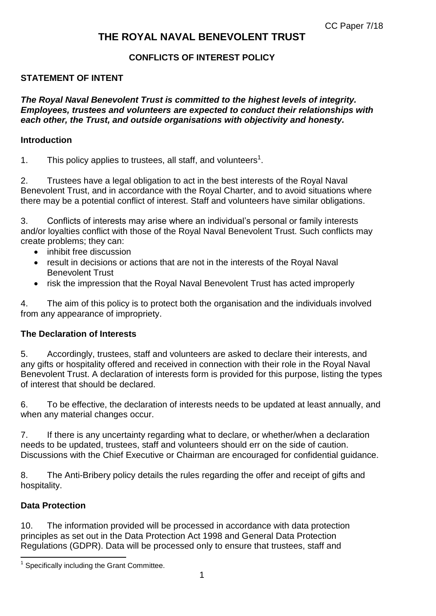# **THE ROYAL NAVAL BENEVOLENT TRUST**

### **CONFLICTS OF INTEREST POLICY**

#### **STATEMENT OF INTENT**

*The Royal Naval Benevolent Trust is committed to the highest levels of integrity. Employees, trustees and volunteers are expected to conduct their relationships with each other, the Trust, and outside organisations with objectivity and honesty.*

#### **Introduction**

1. This policy applies to trustees, all staff, and volunteers<sup>1</sup>.

2. Trustees have a legal obligation to act in the best interests of the Royal Naval Benevolent Trust, and in accordance with the Royal Charter, and to avoid situations where there may be a potential conflict of interest. Staff and volunteers have similar obligations.

3. Conflicts of interests may arise where an individual's personal or family interests and/or loyalties conflict with those of the Royal Naval Benevolent Trust. Such conflicts may create problems; they can:

- inhibit free discussion
- result in decisions or actions that are not in the interests of the Royal Naval Benevolent Trust
- risk the impression that the Royal Naval Benevolent Trust has acted improperly

4. The aim of this policy is to protect both the organisation and the individuals involved from any appearance of impropriety.

#### **The Declaration of Interests**

5. Accordingly, trustees, staff and volunteers are asked to declare their interests, and any gifts or hospitality offered and received in connection with their role in the Royal Naval Benevolent Trust. A declaration of interests form is provided for this purpose, listing the types of interest that should be declared.

6. To be effective, the declaration of interests needs to be updated at least annually, and when any material changes occur.

7. If there is any uncertainty regarding what to declare, or whether/when a declaration needs to be updated, trustees, staff and volunteers should err on the side of caution. Discussions with the Chief Executive or Chairman are encouraged for confidential guidance.

8. The Anti-Bribery policy details the rules regarding the offer and receipt of gifts and hospitality.

#### **Data Protection**

 $\overline{a}$ 

10. The information provided will be processed in accordance with data protection principles as set out in the Data Protection Act 1998 and General Data Protection Regulations (GDPR). Data will be processed only to ensure that trustees, staff and

<sup>1</sup> Specifically including the Grant Committee.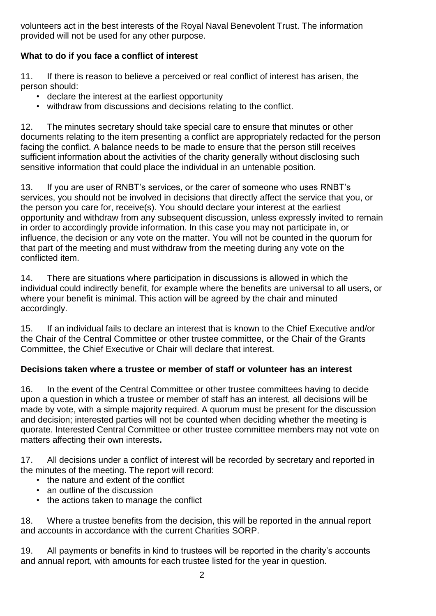volunteers act in the best interests of the Royal Naval Benevolent Trust. The information provided will not be used for any other purpose.

## **What to do if you face a conflict of interest**

11. If there is reason to believe a perceived or real conflict of interest has arisen, the person should:

- declare the interest at the earliest opportunity
- withdraw from discussions and decisions relating to the conflict.

12. The minutes secretary should take special care to ensure that minutes or other documents relating to the item presenting a conflict are appropriately redacted for the person facing the conflict. A balance needs to be made to ensure that the person still receives sufficient information about the activities of the charity generally without disclosing such sensitive information that could place the individual in an untenable position.

13. If you are user of RNBT's services, or the carer of someone who uses RNBT's services, you should not be involved in decisions that directly affect the service that you, or the person you care for, receive(s). You should declare your interest at the earliest opportunity and withdraw from any subsequent discussion, unless expressly invited to remain in order to accordingly provide information. In this case you may not participate in, or influence, the decision or any vote on the matter. You will not be counted in the quorum for that part of the meeting and must withdraw from the meeting during any vote on the conflicted item.

14. There are situations where participation in discussions is allowed in which the individual could indirectly benefit, for example where the benefits are universal to all users, or where your benefit is minimal. This action will be agreed by the chair and minuted accordingly.

15. If an individual fails to declare an interest that is known to the Chief Executive and/or the Chair of the Central Committee or other trustee committee, or the Chair of the Grants Committee, the Chief Executive or Chair will declare that interest.

## **Decisions taken where a trustee or member of staff or volunteer has an interest**

16. In the event of the Central Committee or other trustee committees having to decide upon a question in which a trustee or member of staff has an interest, all decisions will be made by vote, with a simple majority required. A quorum must be present for the discussion and decision; interested parties will not be counted when deciding whether the meeting is quorate. Interested Central Committee or other trustee committee members may not vote on matters affecting their own interests**.**

17. All decisions under a conflict of interest will be recorded by secretary and reported in the minutes of the meeting. The report will record:

- the nature and extent of the conflict
- an outline of the discussion
- the actions taken to manage the conflict

18. Where a trustee benefits from the decision, this will be reported in the annual report and accounts in accordance with the current Charities SORP.

19. All payments or benefits in kind to trustees will be reported in the charity's accounts and annual report, with amounts for each trustee listed for the year in question.